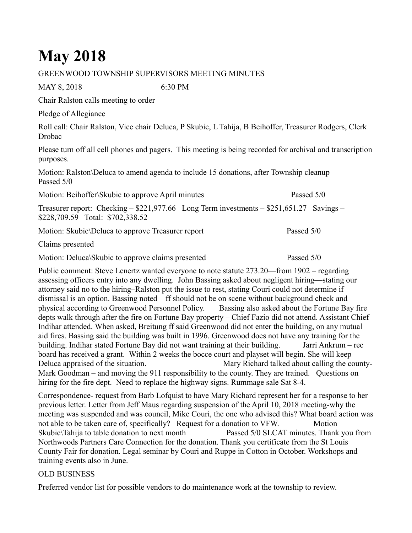## **May 2018**

## GREENWOOD TOWNSHIP SUPERVISORS MEETING MINUTES

MAY 8, 2018 6:30 PM

Chair Ralston calls meeting to order

Pledge of Allegiance

Roll call: Chair Ralston, Vice chair Deluca, P Skubic, L Tahija, B Beihoffer, Treasurer Rodgers, Clerk Drobac

Please turn off all cell phones and pagers. This meeting is being recorded for archival and transcription purposes.

Motion: Ralston\Deluca to amend agenda to include 15 donations, after Township cleanup Passed 5/0

Motion: Beihoffer\Skubic to approve April minutes Passed 5/0

Treasurer report: Checking – \$221,977.66 Long Term investments – \$251,651.27 Savings – \$228,709.59 Total: \$702,338.52

Motion: Skubic\Deluca to approve Treasurer report Passed 5/0

Claims presented

Motion: Deluca\Skubic to approve claims presented Passed 5/0

Public comment: Steve Lenertz wanted everyone to note statute 273.20—from 1902 – regarding assessing officers entry into any dwelling. John Bassing asked about negligent hiring—stating our attorney said no to the hiring–Ralston put the issue to rest, stating Couri could not determine if dismissal is an option. Bassing noted – ff should not be on scene without background check and physical according to Greenwood Personnel Policy. Bassing also asked about the Fortune Bay fire depts walk through after the fire on Fortune Bay property – Chief Fazio did not attend. Assistant Chief Indihar attended. When asked, Breitung ff said Greenwood did not enter the building, on any mutual aid fires. Bassing said the building was built in 1996. Greenwood does not have any training for the building. Indihar stated Fortune Bay did not want training at their building. Jarri Ankrum – rec board has received a grant. Within 2 weeks the bocce court and playset will begin. She will keep Deluca appraised of the situation. Mary Richard talked about calling the county-Mark Goodman – and moving the 911 responsibility to the county. They are trained. Questions on hiring for the fire dept. Need to replace the highway signs. Rummage sale Sat 8-4.

Correspondence- request from Barb Lofquist to have Mary Richard represent her for a response to her previous letter. Letter from Jeff Maus regarding suspension of the April 10, 2018 meeting-why the meeting was suspended and was council, Mike Couri, the one who advised this? What board action was not able to be taken care of, specifically? Request for a donation to VFW. Motion Skubic\Tahija to table donation to next month Passed 5/0 SLCAT minutes. Thank you from Northwoods Partners Care Connection for the donation. Thank you certificate from the St Louis County Fair for donation. Legal seminar by Couri and Ruppe in Cotton in October. Workshops and training events also in June.

## OLD BUSINESS

Preferred vendor list for possible vendors to do maintenance work at the township to review.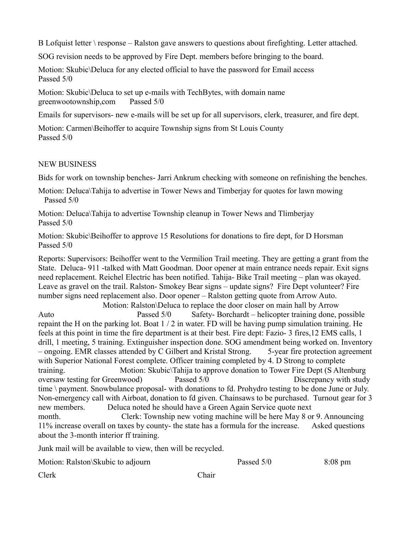B Lofquist letter \ response – Ralston gave answers to questions about firefighting. Letter attached.

SOG revision needs to be approved by Fire Dept. members before bringing to the board.

Motion: Skubic\Deluca for any elected official to have the password for Email access Passed 5/0

Motion: Skubic\Deluca to set up e-mails with TechBytes, with domain name greenwootownship,com Passed 5/0

Emails for supervisors- new e-mails will be set up for all supervisors, clerk, treasurer, and fire dept.

Motion: Carmen\Beihoffer to acquire Township signs from St Louis County Passed 5/0

## NEW BUSINESS

Bids for work on township benches- Jarri Ankrum checking with someone on refinishing the benches.

Motion: Deluca\Tahija to advertise in Tower News and Timberjay for quotes for lawn mowing Passed 5/0

Motion: Deluca\Tahija to advertise Township cleanup in Tower News and Tlimberjay Passed 5/0

Motion: Skubic\Beihoffer to approve 15 Resolutions for donations to fire dept, for D Horsman Passed 5/0

Reports: Supervisors: Beihoffer went to the Vermilion Trail meeting. They are getting a grant from the State. Deluca- 911 -talked with Matt Goodman. Door opener at main entrance needs repair. Exit signs need replacement. Reichel Electric has been notified. Tahija- Bike Trail meeting – plan was okayed. Leave as gravel on the trail. Ralston- Smokey Bear signs – update signs? Fire Dept volunteer? Fire number signs need replacement also. Door opener – Ralston getting quote from Arrow Auto.

 Motion: Ralston\Deluca to replace the door closer on main hall by Arrow Auto Passed 5/0 Safety- Borchardt – helicopter training done, possible repaint the H on the parking lot. Boat 1 / 2 in water. FD will be having pump simulation training. He feels at this point in time the fire department is at their best. Fire dept: Fazio- 3 fires,12 EMS calls, 1 drill, 1 meeting, 5 training. Extinguisher inspection done. SOG amendment being worked on. Inventory – ongoing. EMR classes attended by C Gilbert and Kristal Strong. 5-year fire protection agreement with Superior National Forest complete. Officer training completed by 4. D Strong to complete training. Motion: Skubic\Tahija to approve donation to Tower Fire Dept (S Altenburg oversaw testing for Greenwood) Passed 5/0 Discrepancy with study time \ payment. Snowbulance proposal- with donations to fd. Prohydro testing to be done June or July. Non-emergency call with Airboat, donation to fd given. Chainsaws to be purchased. Turnout gear for 3 new members. Deluca noted he should have a Green Again Service quote next month. Clerk: Township new voting machine will be here May 8 or 9. Announcing 11% increase overall on taxes by county- the state has a formula for the increase. Asked questions

about the 3-month interior ff training.

Junk mail will be available to view, then will be recycled.

Motion: Ralston\Skubic to adjourn Passed 5/0 8:08 pm

Clerk Chair